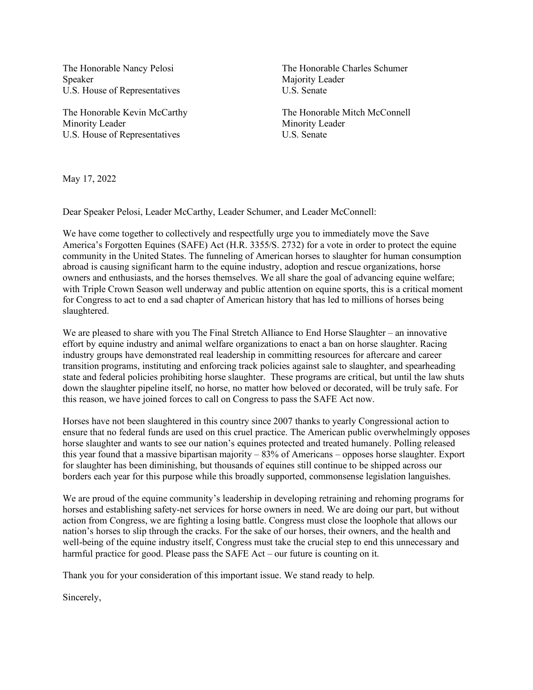The Honorable Nancy Pelosi Speaker U.S. House of Representatives

The Honorable Kevin McCarthy Minority Leader U.S. House of Representatives

The Honorable Charles Schumer Majority Leader U.S. Senate

The Honorable Mitch McConnell Minority Leader U.S. Senate

May 17, 2022

Dear Speaker Pelosi, Leader McCarthy, Leader Schumer, and Leader McConnell:

We have come together to collectively and respectfully urge you to immediately move the Save America's Forgotten Equines (SAFE) Act (H.R. 3355/S. 2732) for a vote in order to protect the equine community in the United States. The funneling of American horses to slaughter for human consumption abroad is causing significant harm to the equine industry, adoption and rescue organizations, horse owners and enthusiasts, and the horses themselves. We all share the goal of advancing equine welfare; with Triple Crown Season well underway and public attention on equine sports, this is a critical moment for Congress to act to end a sad chapter of American history that has led to millions of horses being slaughtered.

We are pleased to share with you The Final Stretch Alliance to End Horse Slaughter – an innovative effort by equine industry and animal welfare organizations to enact a ban on horse slaughter. Racing industry groups have demonstrated real leadership in committing resources for aftercare and career transition programs, instituting and enforcing track policies against sale to slaughter, and spearheading state and federal policies prohibiting horse slaughter. These programs are critical, but until the law shuts down the slaughter pipeline itself, no horse, no matter how beloved or decorated, will be truly safe. For this reason, we have joined forces to call on Congress to pass the SAFE Act now.

Horses have not been slaughtered in this country since 2007 thanks to yearly Congressional action to ensure that no federal funds are used on this cruel practice. The American public overwhelmingly opposes horse slaughter and wants to see our nation's equines protected and treated humanely. Polling released this year found that a massive bipartisan majority – 83% of Americans – opposes horse slaughter. Export for slaughter has been diminishing, but thousands of equines still continue to be shipped across our borders each year for this purpose while this broadly supported, commonsense legislation languishes.

We are proud of the equine community's leadership in developing retraining and rehoming programs for horses and establishing safety-net services for horse owners in need. We are doing our part, but without action from Congress, we are fighting a losing battle. Congress must close the loophole that allows our nation's horses to slip through the cracks. For the sake of our horses, their owners, and the health and well-being of the equine industry itself, Congress must take the crucial step to end this unnecessary and harmful practice for good. Please pass the SAFE Act – our future is counting on it.

Thank you for your consideration of this important issue. We stand ready to help.

Sincerely,